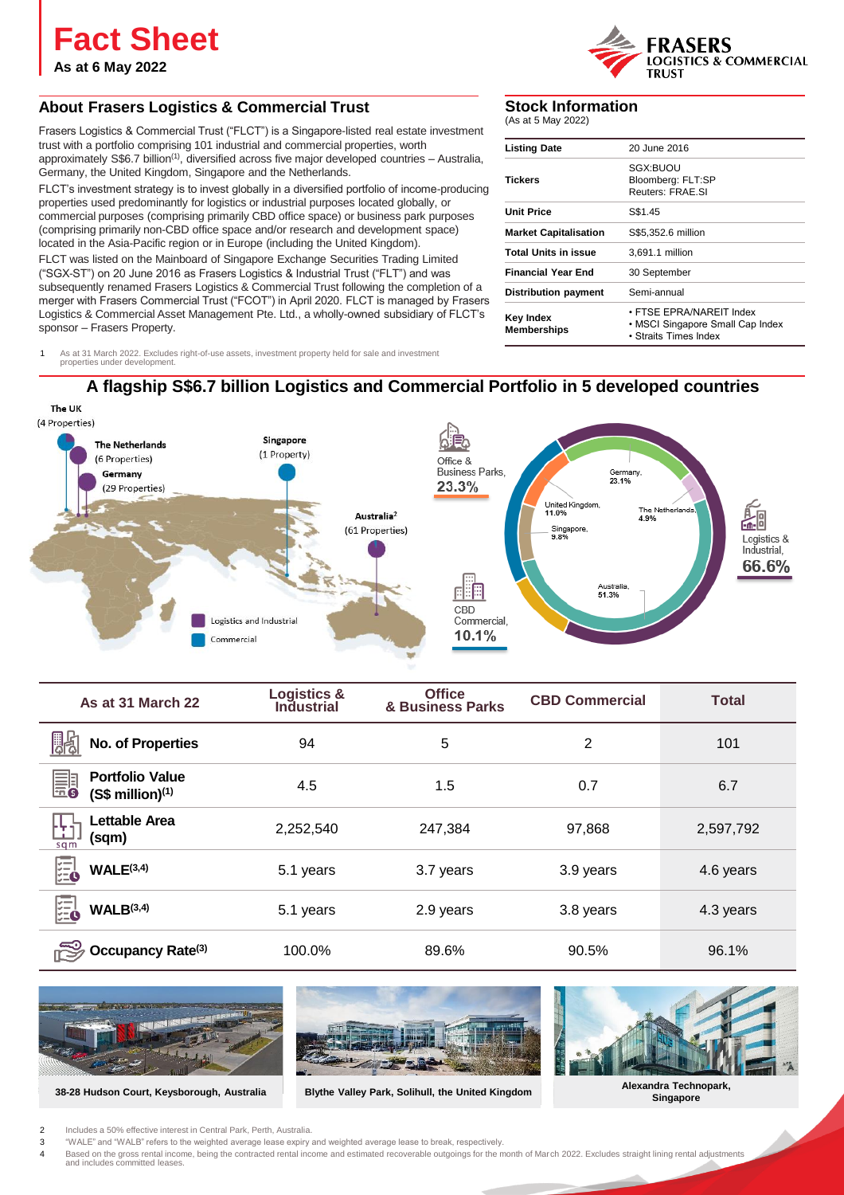**Fact Sheet**

**As at 6 May 2022**

## **About Frasers Logistics & Commercial Trust**

Frasers Logistics & Commercial Trust ("FLCT") is a Singapore-listed real estate investment trust with a portfolio comprising 101 industrial and commercial properties, worth approximately S\$6.7 billion<sup>(1)</sup>, diversified across five major developed countries  $-$  Australia, Germany, the United Kingdom, Singapore and the Netherlands.

FLCT's investment strategy is to invest globally in a diversified portfolio of income-producing properties used predominantly for logistics or industrial purposes located globally, or commercial purposes (comprising primarily CBD office space) or business park purposes (comprising primarily non-CBD office space and/or research and development space) located in the Asia-Pacific region or in Europe (including the United Kingdom).

FLCT was listed on the Mainboard of Singapore Exchange Securities Trading Limited ("SGX-ST") on 20 June 2016 as Frasers Logistics & Industrial Trust ("FLT") and was subsequently renamed Frasers Logistics & Commercial Trust following the completion of a merger with Frasers Commercial Trust ("FCOT") in April 2020. FLCT is managed by Frasers Logistics & Commercial Asset Management Pte. Ltd., a wholly-owned subsidiary of FLCT's sponsor – Frasers Property.

1 As at 31 March 2022. Excludes right-of-use assets, investment property held for sale and investment properties under development.

## **Stock Information**

(As at 5 May 2022)

| <b>Listing Date</b>             | 20 June 2016                                                                          |
|---------------------------------|---------------------------------------------------------------------------------------|
| Tickers                         | SGX:BUOU<br>Bloomberg: FLT:SP<br>Reuters: FRAF SI                                     |
| <b>Unit Price</b>               | S\$1.45                                                                               |
| <b>Market Capitalisation</b>    | S\$5.352.6 million                                                                    |
| <b>Total Units in issue</b>     | 3.691.1 million                                                                       |
| <b>Financial Year End</b>       | 30 September                                                                          |
| <b>Distribution payment</b>     | Semi-annual                                                                           |
| Key Index<br><b>Memberships</b> | • FTSF FPRA/NARFIT Index<br>• MSCI Singapore Small Cap Index<br>• Straits Times Index |

**TRUST** 

**LOGISTICS & COMMERCIAL** 





| As at 31 March 22                                      | <b>Logistics &amp;</b><br><b>Industrial</b> | <b>Office</b><br>& Business Parks | <b>CBD Commercial</b> | <b>Total</b> |
|--------------------------------------------------------|---------------------------------------------|-----------------------------------|-----------------------|--------------|
| No. of Properties                                      | 94                                          | 5                                 | 2                     | 101          |
| <b>Portfolio Value</b><br>即<br>$(S$$ million $)^{(1)}$ | 4.5                                         | 1.5                               | 0.7                   | 6.7          |
| <b>Lettable Area</b><br>œ<br>(sqm)<br>sqm              | 2,252,540                                   | 247,384                           | 97,868                | 2,597,792    |
| 冕<br>WALE <sup>(3,4)</sup>                             | 5.1 years                                   | 3.7 years                         | 3.9 years             | 4.6 years    |
| 凰<br>WALB <sup>(3,4)</sup>                             | 5.1 years                                   | 2.9 years                         | 3.8 years             | 4.3 years    |
| Occupancy Rate <sup>(3)</sup>                          | 100.0%                                      | 89.6%                             | 90.5%                 | 96.1%        |



**38-28 Hudson Court, Keysborough, Australia**



**Singapore Blythe Valley Park, Solihull, the United Kingdom**



**Alexandra Technopark,**

- 2 Includes a 50% effective interest in Central Park, Perth, Australia.
- 3 "WALE" and "WALB" refers to the weighted average lease expiry and weighted average lease to break, respectively. 4 Based on the gross rental income, being the contracted rental income and estimated recoverable outgoings for the month of March 2022. Excludes straight lining rental adjustments

and includes committed leases.